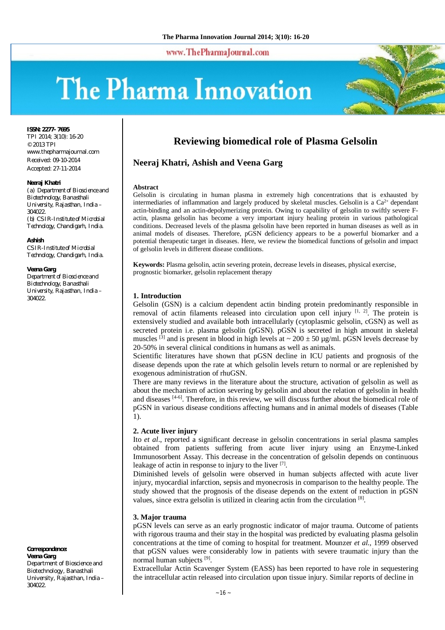www.ThePharmaJournal.com

# The Pharma Innovation



**ISSN: 2277- 7695**

TPI 2014; 3(10): 16-20 © 2013 TPI [www.thepharmajournal.com](http://www.thepharmajournal.com) Received: 09-10-2014 Accepted: 27-11-2014

#### **Neeraj Khatri**

*(a) Department of Bioscience and Biotechnology, Banasthali University, Rajasthan, India – 304022. (b) CSIR-Institute of Microbial Technology, Chandigarh, India.*

**Ashish**

*CSIR-Institute of Microbial Technology, Chandigarh, India.*

#### **Veena Garg**

*Department of Bioscience and Biotechnology, Banasthali University, Rajasthan, India – 304022.*

**Correspondence:**

**Veena Garg** Department of Bioscience and Biotechnology, Banasthali University, Rajasthan, India – 304022.

# **Reviewing biomedical role of Plasma Gelsolin**

## **Neeraj Khatri, Ashish and Veena Garg**

#### **Abstract**

Gelsolin is circulating in human plasma in extremely high concentrations that is exhausted by intermediaries of inflammation and largely produced by skeletal muscles. Gelsolin is a  $Ca<sup>2+</sup>$  dependant actin-binding and an actin-depolymerizing protein. Owing to capability of gelsolin to swiftly severe Factin, plasma gelsolin has become a very important injury healing protein in various pathological conditions. Decreased levels of the plasma gelsolin have been reported in human diseases as well as in animal models of diseases. Therefore, pGSN deficiency appears to be a powerful biomarker and a potential therapeutic target in diseases. Here, we review the biomedical functions of gelsolin and impact of gelsolin levels in different disease conditions.

**Keywords:** Plasma gelsolin, actin severing protein, decrease levels in diseases, physical exercise, prognostic biomarker, gelsolin replacement therapy

#### **1. Introduction**

Gelsolin (GSN) is a calcium dependent actin binding protein predominantly responsible in removal of actin filaments released into circulation upon cell injury  $[1, 2]$ . The protein is extensively studied and available both intracellularly (cytoplasmic gelsolin, cGSN) as well as secreted protein i.e. plasma gelsolin (pGSN). pGSN is secreted in high amount in skeletal muscles <sup>[3]</sup> and is present in blood in high levels at  $\sim 200 \pm 50$  µg/ml. pGSN levels decrease by 20-50% in several clinical conditions in humans as well as animals.

Scientific literatures have shown that pGSN decline in ICU patients and prognosis of the disease depends upon the rate at which gelsolin levels return to normal or are replenished by exogenous administration of rhuGSN.

There are many reviews in the literature about the structure, activation of gelsolin as well as about the mechanism of action severing by gelsolin and about the relation of gelsolin in health and diseases [4-6]. Therefore, in this review, we will discuss further about the biomedical role of pGSN in various disease conditions affecting humans and in animal models of diseases (Table 1).

#### **2. Acute liver injury**

Ito *et al*., reported a significant decrease in gelsolin concentrations in serial plasma samples obtained from patients suffering from acute liver injury using an Enzyme-Linked Immunosorbent Assay. This decrease in the concentration of gelsolin depends on continuous leakage of actin in response to injury to the liver [7].

Diminished levels of gelsolin were observed in human subjects affected with acute liver injury, myocardial infarction, sepsis and myonecrosis in comparison to the healthy people. The study showed that the prognosis of the disease depends on the extent of reduction in pGSN values, since extra gelsolin is utilized in clearing actin from the circulation [8].

#### **3. Major trauma**

pGSN levels can serve as an early prognostic indicator of major trauma. Outcome of patients with rigorous trauma and their stay in the hospital was predicted by evaluating plasma gelsolin concentrations at the time of coming to hospital for treatment. Mounzer *et al.,* 1999 observed that pGSN values were considerably low in patients with severe traumatic injury than the normal human subjects<sup>[9]</sup>.

Extracellular Actin Scavenger System (EASS) has been reported to have role in sequestering the intracellular actin released into circulation upon tissue injury. Similar reports of decline in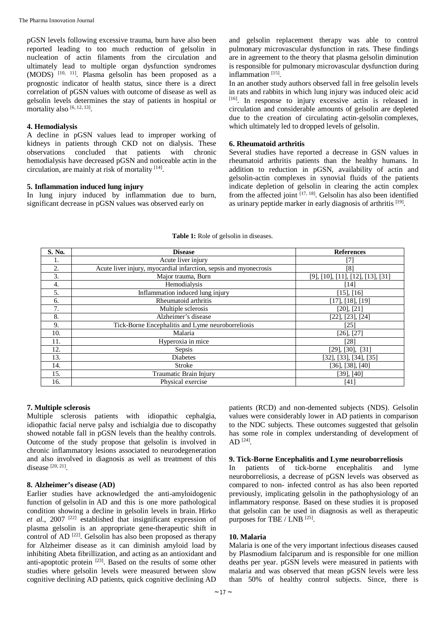pGSN levels following excessive trauma, burn have also been reported leading to too much reduction of gelsolin in nucleation of actin filaments from the circulation and ultimately lead to multiple organ dysfunction syndromes (MODS) [10, 11] . Plasma gelsolin has been proposed as a prognostic indicator of health status, since there is a direct correlation of pGSN values with outcome of disease as well as gelsolin levels determines the stay of patients in hospital or mortality also [6, 12, 13].

#### **4. Hemodialysis**

A decline in pGSN values lead to improper working of kidneys in patients through CKD not on dialysis. These observations concluded that patients with chronic hemodialysis have decreased pGSN and noticeable actin in the circulation, are mainly at risk of mortality [14] .

### **5. Inflammation induced lung injury**

In lung injury induced by inflammation due to burn, significant decrease in pGSN values was observed early on

and gelsolin replacement therapy was able to control pulmonary microvascular dysfunction in rats. These findings are in agreement to the theory that plasma gelsolin diminution is responsible for pulmonary microvascular dysfunction during inflammation<sup>[15]</sup>.

In an another study authors observed fall in free gelsolin levels in rats and rabbits in which lung injury was induced oleic acid [16]. In response to injury excessive actin is released in circulation and considerable amounts of gelsolin are depleted due to the creation of circulating actin-gelsolin complexes, which ultimately led to dropped levels of gelsolin.

#### **6. Rheumatoid arthritis**

Several studies have reported a decrease in GSN values in rheumatoid arthritis patients than the healthy humans. In addition to reduction in pGSN, availability of actin and gelsolin-actin complexes in synovial fluids of the patients indicate depletion of gelsolin in clearing the actin complex from the affected joint <a>[17, 18]</a>. Gelsolin has also been identified as urinary peptide marker in early diagnosis of arthritis [19].

| S. No. | <b>Disease</b>                                                    | <b>References</b>                                  |
|--------|-------------------------------------------------------------------|----------------------------------------------------|
| ī.     | Acute liver injury                                                | $\mathcal{L}$                                      |
| 2.     | Acute liver injury, myocardial infarction, sepsis and myonecrosis | [8]                                                |
| 3.     | Major trauma, Burn                                                | $[9]$ , $[10]$ , $[11]$ , $[12]$ , $[13]$ , $[31]$ |
| 4.     | Hemodialysis                                                      | [14]                                               |
| 5.     | Inflammation induced lung injury                                  | $[15]$ , $[16]$                                    |
| 6.     | Rheumatoid arthritis                                              | [17], [18], [19]                                   |
| 7.     | Multiple sclerosis                                                | [20], [21]                                         |
| 8.     | Alzheimer's disease                                               | $[22]$ , $[23]$ , $[24]$                           |
| 9.     | Tick-Borne Encephalitis and Lyme neuroborreliosis                 | [25]                                               |
| 10.    | Malaria                                                           | $[26]$ , $[27]$                                    |
| 11.    | Hyperoxia in mice                                                 | [28]                                               |
| 12.    | Sepsis                                                            | $[29]$ , $[30]$ , $[31]$                           |
| 13.    | Diabetes                                                          | $[32]$ , $[33]$ , $[34]$ , $[35]$                  |
| 14.    | Stroke                                                            | $[36]$ , $[38]$ , $[40]$                           |
| 15.    | Traumatic Brain Injury                                            | $[39]$ , $[40]$                                    |
| 16.    | Physical exercise                                                 | [41]                                               |

#### **Table 1:** Role of gelsolin in diseases.

### **7. Multiple sclerosis**

Multiple sclerosis patients with idiopathic cephalgia, idiopathic facial nerve palsy and ischialgia due to discopathy showed notable fall in pGSN levels than the healthy controls. Outcome of the study propose that gelsolin is involved in chronic inflammatory lesions associated to neurodegeneration and also involved in diagnosis as well as treatment of this disease [20, 21].

#### **8. Alzheimer's disease (AD)**

Earlier studies have acknowledged the anti-amyloidogenic function of gelsolin in AD and this is one more pathological condition showing a decline in gelsolin levels in brain. Hirko *et al*., 2007 [22] established that insignificant expression of plasma gelsolin is an appropriate gene-therapeutic shift in control of AD<sup>[22]</sup>. Gelsolin has also been proposed as therapy for Alzheimer disease as it can diminish amyloid load by inhibiting Abeta fibrillization, and acting as an antioxidant and anti-apoptotic protein <sup>[23]</sup>. Based on the results of some other studies where gelsolin levels were measured between slow cognitive declining AD patients, quick cognitive declining AD

patients (RCD) and non-demented subjects (NDS). Gelsolin values were considerably lower in AD patients in comparison to the NDC subjects. These outcomes suggested that gelsolin has some role in complex understanding of development of  $AD^{[24]}$ .

#### **9. Tick-Borne Encephalitis and Lyme neuroborreliosis**

In patients of tick-borne encephalitis and lyme neuroborreliosis, a decrease of pGSN levels was observed as compared to non- infected control as has also been reported previously, implicating gelsolin in the pathophysiology of an inflammatory response. Based on these studies it is proposed that gelsolin can be used in diagnosis as well as therapeutic purposes for TBE /  $LNB$ <sup>[25]</sup>.

#### **10. Malaria**

Malaria is one of the very important infectious diseases caused by Plasmodium falciparum and is responsible for one million deaths per year. pGSN levels were measured in patients with malaria and was observed that mean pGSN levels were less than 50% of healthy control subjects. Since, there is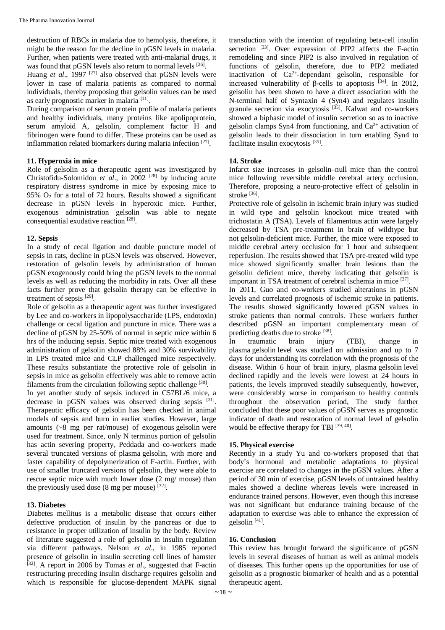destruction of RBCs in malaria due to hemolysis, therefore, it might be the reason for the decline in pGSN levels in malaria. Further, when patients were treated with anti-malarial drugs, it was found that pGSN levels also return to normal levels [26].

Huang *et al.*, 1997<sup>[27]</sup> also observed that pGSN levels were lower in case of malaria patients as compared to normal individuals, thereby proposing that gelsolin values can be used as early prognostic marker in malaria<sup>[11]</sup>.

During comparison of serum protein profile of malaria patients and healthy individuals, many proteins like apolipoprotein, serum amyloid A, gelsolin, complement factor H and fibrinogen were found to differ. These proteins can be used as inflammation related biomarkers during malaria infection<sup>[27]</sup>.

### **11. Hyperoxia in mice**

Role of gelsolin as a therapeutic agent was investigated by Christofidu-Solomidou *et al*., in 2002 [28] by inducing acute respiratory distress syndrome in mice by exposing mice to 95%  $O<sub>2</sub>$  for a total of 72 hours. Results showed a significant decrease in pGSN levels in hyperoxic mice. Further, exogenous administration gelsolin was able to negate consequential exudative reaction<sup>[28]</sup>.

#### **12. Sepsis**

In a study of cecal ligation and double puncture model of sepsis in rats, decline in pGSN levels was observed. However, restoration of gelsolin levels by administration of human pGSN exogenously could bring the pGSN levels to the normal levels as well as reducing the morbidity in rats. Over all these facts further prove that gelsolin therapy can be effective in treatment of sepsis<sup>[29]</sup>.

Role of gelsolin as a therapeutic agent was further investigated by Lee and co-workers in lipopolysaccharide (LPS, endotoxin) challenge or cecal ligation and puncture in mice. There was a decline of pGSN by 25-50% of normal in septic mice within 6 hrs of the inducing sepsis. Septic mice treated with exogenous administration of gelsolin showed 88% and 30% survivability in LPS treated mice and CLP challenged mice respectively. These results substantiate the protective role of gelsolin in sepsis in mice as gelsolin effectively was able to remove actin filaments from the circulation following septic challenge [30].

In yet another study of sepsis induced in C57BL/6 mice, a decrease in pGSN values was observed during sepsis [31]. Therapeutic efficacy of gelsolin has been checked in animal models of sepsis and burn in earlier studies. However, large amounts (~8 mg per rat/mouse) of exogenous gelsolin were used for treatment. Since, only N terminus portion of gelsolin has actin severing property, Peddada and co-workers made several truncated versions of plasma gelsolin, with more and faster capability of depolymerization of F-actin. Further, with use of smaller truncated versions of gelsolin, they were able to rescue septic mice with much lower dose (2 mg/ mouse) than the previously used dose  $(8 \text{ mg per mouse})$   $^{[32]}$ .

### **13. Diabetes**

Diabetes mellitus is a metabolic disease that occurs either defective production of insulin by the pancreas or due to resistance in proper utilization of insulin by the body. Review of literature suggested a role of gelsolin in insulin regulation via different pathways. Nelson *et al*., in 1985 reported presence of gelsolin in insulin secreting cell lines of hamster [32] . A report in 2006 by Tomas *et al*., suggested that F-actin restructuring preceding insulin discharge requires gelsolin and which is responsible for glucose-dependent MAPK signal

transduction with the intention of regulating beta-cell insulin secretion [33]. Over expression of PIP2 affects the F-actin remodeling and since PIP2 is also involved in regulation of functions of gelsolin, therefore, due to PIP2 mediated inactivation of Ca<sup>2+</sup>-dependant gelsolin, responsible for increased vulnerability of β-cells to apoptosis  $[34]$ . In 2012, gelsolin has been shown to have a direct association with the N-terminal half of Syntaxin 4 (Syn4) and regulates insulin granule secretion via exocytosis<sup>[35]</sup>. Kalwat and co-workers showed a biphasic model of insulin secretion so as to inactive gelsolin clamps Syn4 from functioning, and  $Ca^{2+}$  activation of gelsolin leads to their dissociation in turn enabling Syn4 to facilitate insulin exocytosis<sup>[35]</sup>.

#### **14. Stroke**

Infarct size increases in gelsolin–null mice than the control mice following reversible middle cerebral artery occlusion. Therefore, proposing a neuro-protective effect of gelsolin in stroke [36] .

Protective role of gelsolin in ischemic brain injury was studied in wild type and gelsolin knockout mice treated with trichostatin A (TSA). Levels of filamentous actin were largely decreased by TSA pre-treatment in brain of wildtype but not gelsolin-deficient mice. Further, the mice were exposed to middle cerebral artery occlusion for 1 hour and subsequent reperfusion. The results showed that TSA pre-treated wild type mice showed significantly smaller brain lesions than the gelsolin deficient mice, thereby indicating that gelsolin is important in TSA treatment of cerebral ischemia in mice [37].

In 2011, Guo and co-workers studied alterations in pGSN levels and correlated prognosis of ischemic stroke in patients. The results showed significantly lowered pGSN values in stroke patients than normal controls. These workers further described pGSN an important complementary mean of predicting deaths due to stroke [38].

In traumatic brain injury (TBI), change in plasma gelsolin level was studied on admission and up to 7 days for understanding its correlation with the prognosis of the disease. Within 6 hour of brain injury, plasma gelsolin level declined rapidly and the levels were lowest at 24 hours in patients, the levels improved steadily subsequently, however, were considerably worse in comparison to healthy controls throughout the observation period, The study further concluded that these poor values of pGSN serves as prognostic indicator of death and restoration of normal level of gelsolin would be effective therapy for TBI [39, 40].

### **15. Physical exercise**

Recently in a study Yu and co-workers proposed that that body's hormonal and metabolic adaptations to physical exercise are correlated to changes in the pGSN values. After a period of 30 min of exercise, pGSN levels of untrained healthy males showed a decline whereas levels were increased in endurance trained persons. However, even though this increase was not significant but endurance training because of the adaptation to exercise was able to enhance the expression of gelsolin<sup>[41]</sup>.

#### **16. Conclusion**

This review has brought forward the significance of pGSN levels in several diseases of human as well as animal models of diseases. This further opens up the opportunities for use of gelsolin as a prognostic biomarker of health and as a potential therapeutic agent.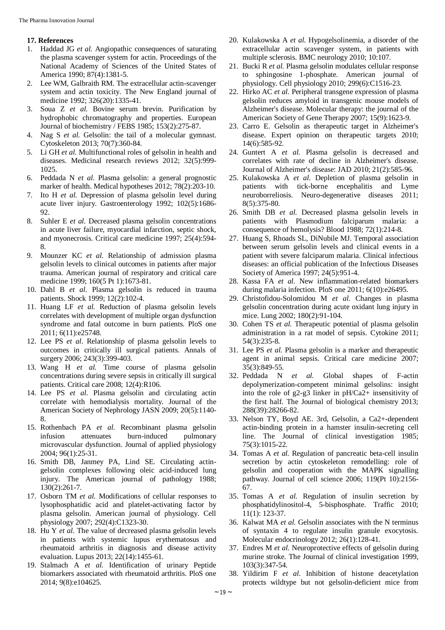### **17. References**

- 1. Haddad JG *et al.* Angiopathic consequences of saturating the plasma scavenger system for actin. Proceedings of the National Academy of Sciences of the United States of America 1990; 87(4):1381-5.
- 2. Lee WM, Galbraith RM. The extracellular actin-scavenger system and actin toxicity. The New England journal of medicine 1992; 326(20):1335-41.
- 3. Soua Z *et al.* Bovine serum brevin. Purification by hydrophobic chromatography and properties. European Journal of biochemistry / FEBS 1985; 153(2):275-87.
- 4. Nag S *et al.* Gelsolin: the tail of a molecular gymnast. Cytoskeleton 2013; 70(7):360-84.
- 5. Li GH *et al*. Multifunctional roles of gelsolin in health and diseases. Medicinal research reviews 2012; 32(5):999- 1025.
- 6. Peddada N *et al*. Plasma gelsolin: a general prognostic marker of health. Medical hypotheses 2012; 78(2):203-10.
- 7. Ito H *et al.* Depression of plasma gelsolin level during acute liver injury. Gastroenterology 1992; 102(5):1686- 92.
- 8. Suhler E *et al.* Decreased plasma gelsolin concentrations in acute liver failure, myocardial infarction, septic shock, and myonecrosis. Critical care medicine 1997; 25(4):594- 8.
- 9. Mounzer KC *et al.* Relationship of admission plasma gelsolin levels to clinical outcomes in patients after major trauma. American journal of respiratory and critical care medicine 1999; 160(5 Pt 1):1673-81.
- 10. Dahl B *et al.* Plasma gelsolin is reduced in trauma patients. Shock 1999; 12(2):102-4.
- 11. Huang LF *et al.* Reduction of plasma gelsolin levels correlates with development of multiple organ dysfunction syndrome and fatal outcome in burn patients. PloS one 2011; 6(11):e25748.
- 12. Lee PS *et al*. Relationship of plasma gelsolin levels to outcomes in critically ill surgical patients. Annals of surgery 2006; 243(3):399-403.
- 13. Wang H *et al.* Time course of plasma gelsolin concentrations during severe sepsis in critically ill surgical patients. Critical care 2008; 12(4):R106.
- 14. Lee PS *et al.* Plasma gelsolin and circulating actin correlate with hemodialysis mortality. Journal of the American Society of Nephrology JASN 2009; 20(5):1140- 8.
- 15. Rothenbach PA *et al.* Recombinant plasma gelsolin infusion attenuates burn-induced pulmonary microvascular dysfunction. Journal of applied physiology 2004; 96(1):25-31.
- 16. Smith DB, Janmey PA, Lind SE. Circulating actingelsolin complexes following oleic acid-induced lung injury. The American journal of pathology 1988; 130(2):261-7.
- 17. Osborn TM *et al.* Modifications of cellular responses to lysophosphatidic acid and platelet-activating factor by plasma gelsolin. American journal of physiology. Cell physiology 2007; 292(4):C1323-30.
- 18. Hu Y *et al.* The value of decreased plasma gelsolin levels in patients with systemic lupus erythematosus and rheumatoid arthritis in diagnosis and disease activity evaluation. Lupus 2013; 22(14):1455-61.
- 19. Stalmach A *et al.* Identification of urinary Peptide biomarkers associated with rheumatoid arthritis. PloS one 2014; 9(8):e104625.
- 20. Kulakowska A *et al.* Hypogelsolinemia, a disorder of the extracellular actin scavenger system, in patients with multiple sclerosis. BMC neurology 2010; 10:107.
- 21. Bucki R *et al.* Plasma gelsolin modulates cellular response to sphingosine 1-phosphate. American journal of physiology. Cell physiology 2010; 299(6):C1516-23.
- 22. Hirko AC *et al.* Peripheral transgene expression of plasma gelsolin reduces amyloid in transgenic mouse models of Alzheimer's disease. Molecular therapy: the journal of the American Society of Gene Therapy 2007; 15(9):1623-9.
- 23. Carro E. Gelsolin as therapeutic target in Alzheimer's disease. Expert opinion on therapeutic targets 2010; 14(6):585-92.
- 24. Guntert A *et al.* Plasma gelsolin is decreased and correlates with rate of decline in Alzheimer's disease. Journal of Alzheimer's disease: JAD 2010; 21(2):585-96.
- 25. Kulakowska A *et al.* Depletion of plasma gelsolin in patients with tick-borne encephalitis and Lyme neuroborreliosis. Neuro-degenerative diseases 2011; 8(5):375-80.
- 26. Smith DB *et al.* Decreased plasma gelsolin levels in patients with Plasmodium falciparum malaria: a consequence of hemolysis? Blood 1988; 72(1):214-8.
- 27. Huang S, Rhoads SL, DiNubile MJ. Temporal association between serum gelsolin levels and clinical events in a patient with severe falciparum malaria. Clinical infectious diseases: an official publication of the Infectious Diseases Society of America 1997; 24(5):951-4.
- 28. Kassa FA *et al.* New inflammation-related biomarkers during malaria infection. PloS one 2011; 6(10):e26495.
- 29. Christofidou-Solomidou M *et al.* Changes in plasma gelsolin concentration during acute oxidant lung injury in mice. Lung 2002; 180(2):91-104.
- 30. Cohen TS *et al.* Therapeutic potential of plasma gelsolin administration in a rat model of sepsis. Cytokine 2011; 54(3):235-8.
- 31. Lee PS *et al.* Plasma gelsolin is a marker and therapeutic agent in animal sepsis. Critical care medicine 2007; 35(3):849-55.
- 32. Peddada N *et al.* Global shapes of F-actin depolymerization-competent minimal gelsolins: insight into the role of g2-g3 linker in pH/Ca2+ insensitivity of the first half. The Journal of biological chemistry 2013; 288(39):28266-82.
- 33. Nelson TY, Boyd AE. 3rd, Gelsolin, a Ca2+-dependent actin-binding protein in a hamster insulin-secreting cell line. The Journal of clinical investigation 1985; 75(3):1015-22.
- 34. Tomas A *et al.* Regulation of pancreatic beta-cell insulin secretion by actin cytoskeleton remodelling: role of gelsolin and cooperation with the MAPK signalling pathway. Journal of cell science 2006; 119(Pt 10):2156- 67.
- 35. Tomas A *et al.* Regulation of insulin secretion by phosphatidylinositol-4, 5-bisphosphate. Traffic 2010; 11(1): 123-37.
- 36. Kalwat MA *et al.* Gelsolin associates with the N terminus of syntaxin 4 to regulate insulin granule exocytosis. Molecular endocrinology 2012; 26(1):128-41.
- 37. Endres M *et al.* Neuroprotective effects of gelsolin during murine stroke. The Journal of clinical investigation 1999, 103(3):347-54.
- 38. Yildirim F *et al.* Inhibition of histone deacetylation protects wildtype but not gelsolin-deficient mice from